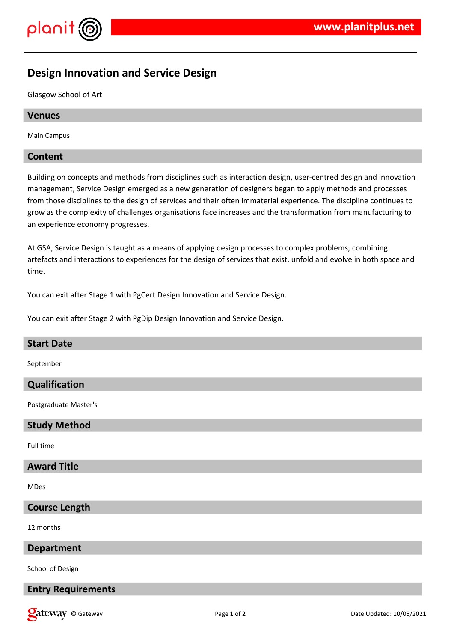

# **Design Innovation and Service Design**

Glasgow School of Art

#### **Venues**

Main Campus

### **Content**

Building on concepts and methods from disciplines such as interaction design, user-centred design and innovation management, Service Design emerged as a new generation of designers began to apply methods and processes from those disciplines to the design of services and their often immaterial experience. The discipline continues to grow as the complexity of challenges organisations face increases and the transformation from manufacturing to an experience economy progresses.

At GSA, Service Design is taught as a means of applying design processes to complex problems, combining artefacts and interactions to experiences for the design of services that exist, unfold and evolve in both space and time.

You can exit after Stage 1 with PgCert Design Innovation and Service Design.

You can exit after Stage 2 with PgDip Design Innovation and Service Design.

| <b>Start Date</b>     |
|-----------------------|
| September             |
| Qualification         |
| Postgraduate Master's |
| <b>Study Method</b>   |
| Full time             |
| <b>Award Title</b>    |
| MDes                  |
| <b>Course Length</b>  |
| 12 months             |

### **Department**

School of Design

### **Entry Requirements**